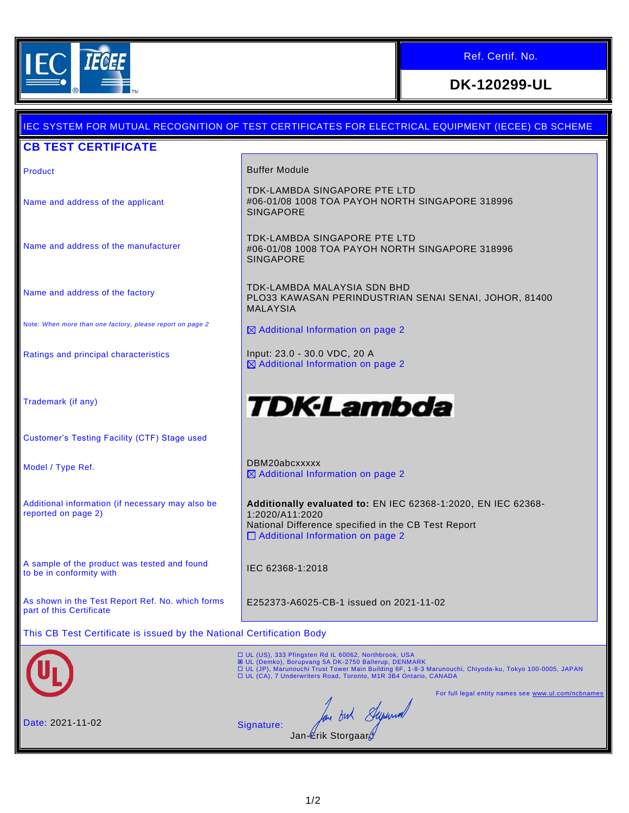

## Ref. Certif. No.

# **DK-120299-UL**

# IEC SYSTEM FOR MUTUAL RECOGNITION OF TEST CERTIFICATES FOR ELECTRICAL EQUIPMENT (IECEE) CB SCHEME **CB TEST CERTIFICATE** Product **Buffer Module** TDK-LAMBDA SINGAPORE PTE LTD #06-01/08 1008 TOA PAYOH NORTH SINGAPORE 318996 Name and address of the applicant SINGAPORE TDK-LAMBDA SINGAPORE PTE LTD Name and address of the manufacturer #06-01/08 1008 TOA PAYOH NORTH SINGAPORE 318996 SINGAPORE TDK-LAMBDA MALAYSIA SDN BHD Name and address of the factory PLO33 KAWASAN PERINDUSTRIAN SENAI SENAI, JOHOR, 81400 MALAYSIA Note: *When more than one factory, please report on page 2*  $\boxtimes$  Additional Information on page 2 Ratings and principal characteristics **Input: 23.0 - 30.0 VDC, 20 A** Additional Information on page 2 *TDK-Lambda* Trademark (if any) Customer's Testing Facility (CTF) Stage used Model / Type Ref. 2008 2012 12:30 DBM20abcxxxxx ■ Additional Information on page 2 **Additionally evaluated to:** EN IEC 62368-1:2020, EN IEC 62368- Additional information (if necessary may also be reported on page 2) 1:2020/A11:2020 National Difference specified in the CB Test Report □ Additional Information on page 2 A sample of the product was tested and found A sample of the product was tested and found<br>to be in conformity with As shown in the Test Report Ref. No. which forms E252373-A6025-CB-1 issued on 2021-11-02 part of this Certificate This CB Test Certificate is issued by the National Certification Body □ UL (US), 333 Pfingsten Rd IL 60062, Northbrook, USA<br>図 UL (Demko), Borupvang 5A DK-2750 Ballerup, DENMARK<br>□ UL (JP), Marunouchi Trust Tower Main Building 6F, 1-8-3 Marunouchi, Chiyoda-ku, Tokyo 100-0005, JAPAN<br>□ UL (CA), For full legal entity names see www.ul.com/ncb In out Superin Date: 2021-11-02 Signature: Jan-*L*rik Storgaar